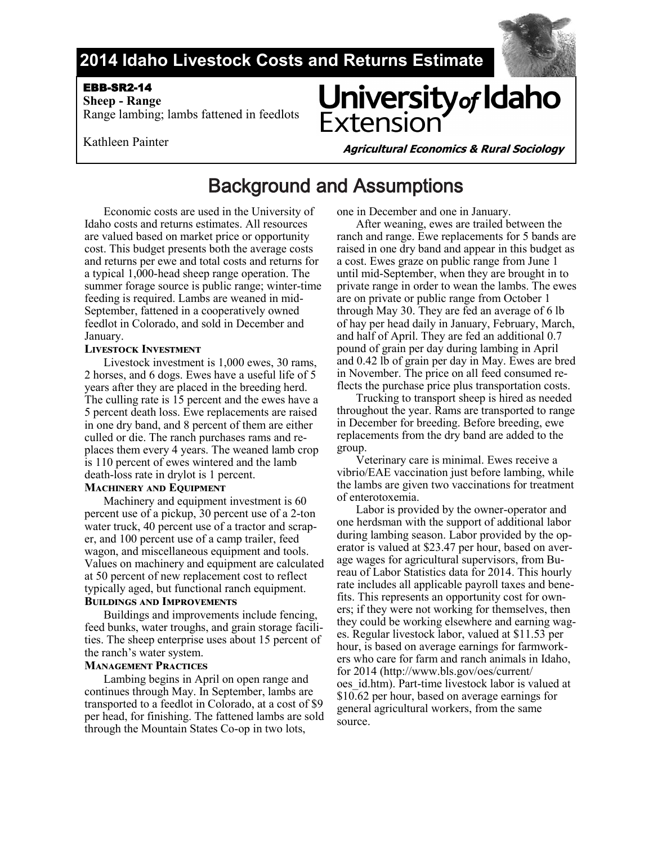

### **2014 Idaho Livestock Costs and Returns Estimate**

#### EBB-SR2-14

 **Sheep - Range**  Range lambing; lambs fattened in feedlots

# University of Idaho **Extensior**

Kathleen Painter

**Agricultural Economics & Rural Sociology**

## Background and Assumptions

Economic costs are used in the University of Idaho costs and returns estimates. All resources are valued based on market price or opportunity cost. This budget presents both the average costs and returns per ewe and total costs and returns for a typical 1,000-head sheep range operation. The summer forage source is public range; winter-time feeding is required. Lambs are weaned in mid-September, fattened in a cooperatively owned feedlot in Colorado, and sold in December and January.

#### **Livestock Investment**

Livestock investment is 1,000 ewes, 30 rams, 2 horses, and 6 dogs. Ewes have a useful life of 5 years after they are placed in the breeding herd. The culling rate is 15 percent and the ewes have a 5 percent death loss. Ewe replacements are raised in one dry band, and 8 percent of them are either culled or die. The ranch purchases rams and replaces them every 4 years. The weaned lamb crop is 110 percent of ewes wintered and the lamb death-loss rate in drylot is 1 percent.

#### **Machinery and Equipment**

Machinery and equipment investment is 60 percent use of a pickup, 30 percent use of a 2-ton water truck, 40 percent use of a tractor and scraper, and 100 percent use of a camp trailer, feed wagon, and miscellaneous equipment and tools. Values on machinery and equipment are calculated at 50 percent of new replacement cost to reflect typically aged, but functional ranch equipment.

#### **Buildings and Improvements**

Buildings and improvements include fencing, feed bunks, water troughs, and grain storage facilities. The sheep enterprise uses about 15 percent of the ranch's water system.

#### **Management Practices**

Lambing begins in April on open range and continues through May. In September, lambs are transported to a feedlot in Colorado, at a cost of \$9 per head, for finishing. The fattened lambs are sold through the Mountain States Co-op in two lots,

one in December and one in January.

After weaning, ewes are trailed between the ranch and range. Ewe replacements for 5 bands are raised in one dry band and appear in this budget as a cost. Ewes graze on public range from June 1 until mid-September, when they are brought in to private range in order to wean the lambs. The ewes are on private or public range from October 1 through May 30. They are fed an average of 6 lb of hay per head daily in January, February, March, and half of April. They are fed an additional 0.7 pound of grain per day during lambing in April and 0.42 lb of grain per day in May. Ewes are bred in November. The price on all feed consumed reflects the purchase price plus transportation costs.

Trucking to transport sheep is hired as needed throughout the year. Rams are transported to range in December for breeding. Before breeding, ewe replacements from the dry band are added to the group.

Veterinary care is minimal. Ewes receive a vibrio/EAE vaccination just before lambing, while the lambs are given two vaccinations for treatment of enterotoxemia.

Labor is provided by the owner-operator and one herdsman with the support of additional labor during lambing season. Labor provided by the operator is valued at \$23.47 per hour, based on average wages for agricultural supervisors, from Bureau of Labor Statistics data for 2014. This hourly rate includes all applicable payroll taxes and benefits. This represents an opportunity cost for owners; if they were not working for themselves, then they could be working elsewhere and earning wages. Regular livestock labor, valued at \$11.53 per hour, is based on average earnings for farmworkers who care for farm and ranch animals in Idaho, for 2014 (http://www.bls.gov/oes/current/ oes\_id.htm). Part-time livestock labor is valued at \$10.62 per hour, based on average earnings for general agricultural workers, from the same source.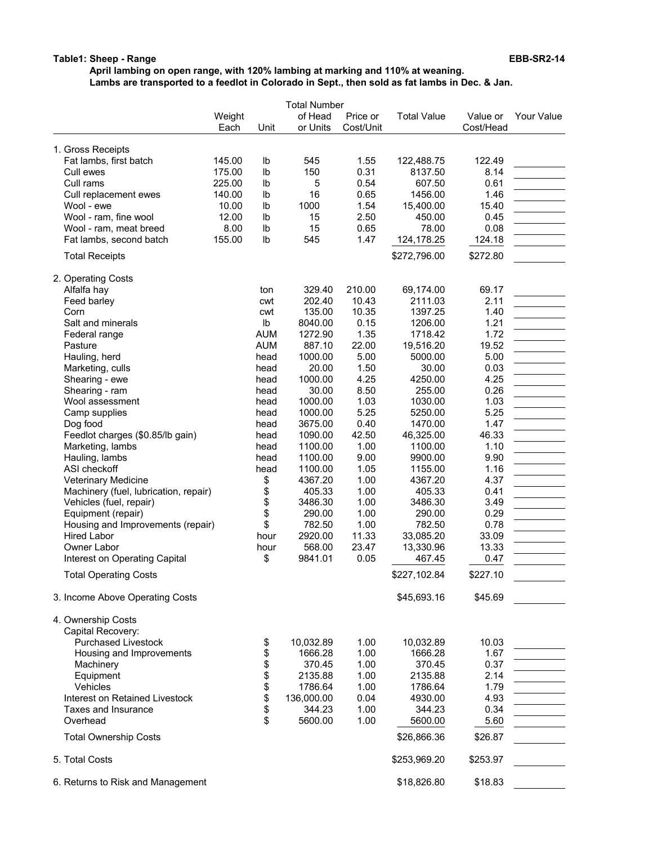#### **Table1: Sheep - Range EBB-SR2-14**

#### **April lambing on open range, with 120% lambing at marking and 110% at weaning. Lambs are transported to a feedlot in Colorado in Sept., then sold as fat lambs in Dec. & Jan.**

|                                         |                | <b>Total Number</b> |                     |                       |                    |                       |            |  |
|-----------------------------------------|----------------|---------------------|---------------------|-----------------------|--------------------|-----------------------|------------|--|
|                                         | Weight<br>Each | Unit                | of Head<br>or Units | Price or<br>Cost/Unit | <b>Total Value</b> | Value or<br>Cost/Head | Your Value |  |
| 1. Gross Receipts                       |                |                     |                     |                       |                    |                       |            |  |
| Fat lambs, first batch                  | 145.00         | lb                  | 545                 | 1.55                  | 122,488.75         | 122.49                |            |  |
| Cull ewes                               | 175.00         | Ib                  | 150                 | 0.31                  | 8137.50            | 8.14                  |            |  |
| Cull rams                               | 225.00         | lb                  | 5                   | 0.54                  | 607.50             | 0.61                  |            |  |
| Cull replacement ewes                   | 140.00         | lb                  | 16                  | 0.65                  | 1456.00            | 1.46                  |            |  |
| Wool - ewe                              | 10.00          | lb                  | 1000                | 1.54                  | 15,400.00          | 15.40                 |            |  |
| Wool - ram, fine wool                   | 12.00          | lb                  | 15                  | 2.50                  | 450.00             | 0.45                  |            |  |
| Wool - ram, meat breed                  | 8.00           | lb                  | 15                  | 0.65                  | 78.00              | 0.08                  |            |  |
| Fat lambs, second batch                 | 155.00         | Ib                  | 545                 | 1.47                  | 124,178.25         | 124.18                |            |  |
| <b>Total Receipts</b>                   |                |                     |                     |                       | \$272,796.00       | \$272.80              |            |  |
| 2. Operating Costs                      |                |                     |                     |                       |                    |                       |            |  |
| Alfalfa hay                             |                | ton                 | 329.40              | 210.00                | 69,174.00          | 69.17                 |            |  |
| Feed barley                             |                | cwt                 | 202.40              | 10.43                 | 2111.03            | 2.11                  |            |  |
| Corn                                    |                | cwt                 | 135.00              | 10.35                 | 1397.25            | 1.40                  |            |  |
| Salt and minerals                       |                | $\mathsf{lb}$       | 8040.00             | 0.15                  | 1206.00            | 1.21                  |            |  |
| Federal range                           |                | <b>AUM</b>          | 1272.90             | 1.35                  | 1718.42            | 1.72                  |            |  |
| Pasture                                 |                | <b>AUM</b>          | 887.10              | 22.00                 | 19,516.20          | 19.52                 |            |  |
| Hauling, herd                           |                | head                | 1000.00             | 5.00                  | 5000.00            | 5.00                  |            |  |
| Marketing, culls                        |                | head                | 20.00               | 1.50                  | 30.00              | 0.03                  |            |  |
| Shearing - ewe                          |                | head                | 1000.00             | 4.25                  | 4250.00            | 4.25                  |            |  |
| Shearing - ram                          |                | head                | 30.00               | 8.50                  | 255.00             | 0.26                  |            |  |
| Wool assessment                         |                | head                | 1000.00             | 1.03                  | 1030.00            | 1.03                  |            |  |
| Camp supplies                           |                | head                | 1000.00             | 5.25                  | 5250.00            | 5.25                  |            |  |
| Dog food                                |                | head                | 3675.00             | 0.40                  | 1470.00            | 1.47                  |            |  |
| Feedlot charges (\$0.85/lb gain)        |                | head                | 1090.00             | 42.50                 | 46,325.00          | 46.33                 |            |  |
| Marketing, lambs                        |                | head                | 1100.00             | 1.00                  | 1100.00            | 1.10                  |            |  |
| Hauling, lambs                          |                | head                | 1100.00             | 9.00                  | 9900.00            | 9.90                  |            |  |
| ASI checkoff                            |                | head                | 1100.00             | 1.05                  | 1155.00            | 1.16                  |            |  |
| Veterinary Medicine                     |                | \$                  | 4367.20             | 1.00                  | 4367.20            | 4.37                  |            |  |
| Machinery (fuel, lubrication, repair)   |                | \$                  | 405.33              | 1.00                  | 405.33             | 0.41                  |            |  |
| Vehicles (fuel, repair)                 |                | \$                  | 3486.30             | 1.00                  | 3486.30            | 3.49                  |            |  |
| Equipment (repair)                      |                | \$                  | 290.00              | 1.00                  | 290.00             | 0.29                  |            |  |
| Housing and Improvements (repair)       |                | \$                  | 782.50              | 1.00                  | 782.50             | 0.78                  |            |  |
| <b>Hired Labor</b>                      |                | hour                | 2920.00             | 11.33                 | 33,085.20          | 33.09                 |            |  |
| Owner Labor                             |                | hour                | 568.00              | 23.47                 | 13,330.96          | 13.33                 |            |  |
| Interest on Operating Capital           |                | \$                  | 9841.01             | 0.05                  | 467.45             | 0.47                  |            |  |
| <b>Total Operating Costs</b>            |                |                     |                     |                       | \$227,102.84       | \$227.10              |            |  |
| 3. Income Above Operating Costs         |                |                     |                     |                       | \$45,693.16        | \$45.69               |            |  |
| 4. Ownership Costs<br>Capital Recovery: |                |                     |                     |                       |                    |                       |            |  |
| <b>Purchased Livestock</b>              |                | \$                  | 10,032.89           | 1.00                  | 10,032.89          | 10.03                 |            |  |
| Housing and Improvements                |                | \$                  | 1666.28             | 1.00                  | 1666.28            | 1.67                  |            |  |
| Machinery                               |                | \$                  | 370.45              | 1.00                  | 370.45             | 0.37                  |            |  |
| Equipment                               |                | \$                  | 2135.88             | 1.00                  | 2135.88            | 2.14                  |            |  |
| Vehicles                                |                |                     | 1786.64             | 1.00                  | 1786.64            | 1.79                  |            |  |
| Interest on Retained Livestock          |                | \$                  | 136,000.00          | 0.04                  | 4930.00            | 4.93                  |            |  |
| Taxes and Insurance                     |                | \$                  | 344.23              | 1.00                  | 344.23             | 0.34                  |            |  |
| Overhead                                |                | \$                  | 5600.00             | 1.00                  | 5600.00            | 5.60                  |            |  |
| <b>Total Ownership Costs</b>            |                |                     |                     |                       | \$26,866.36        | \$26.87               |            |  |
| 5. Total Costs                          |                |                     |                     |                       | \$253,969.20       | \$253.97              |            |  |
| 6. Returns to Risk and Management       |                |                     |                     |                       | \$18,826.80        | \$18.83               |            |  |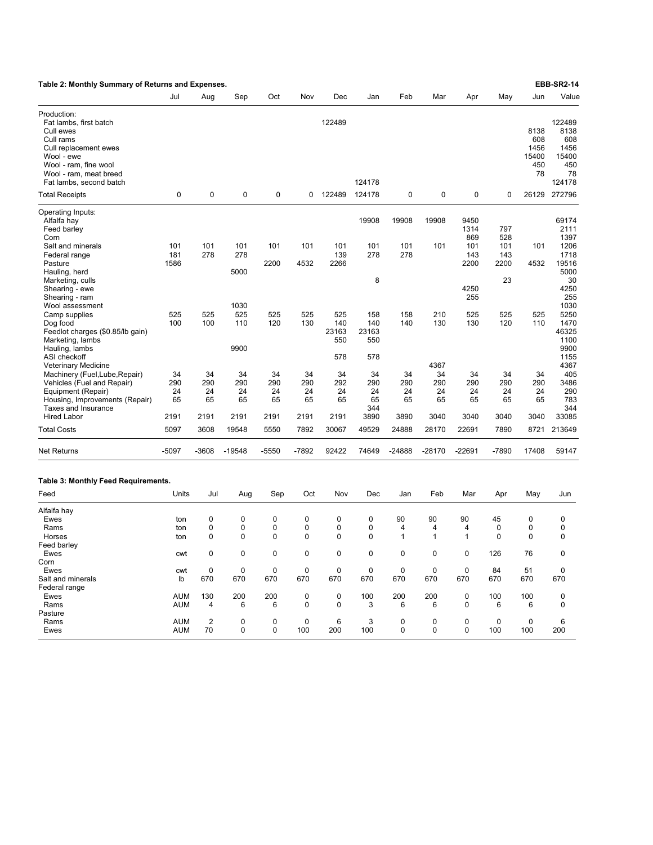| Table 2: Monthly Summary of Returns and Expenses.                                                                                                                                    |                          |                       |                       |                       |                       |                            |                            |                       |                               |                         |                          |                                           | <b>EBB-SR2-14</b>                                             |
|--------------------------------------------------------------------------------------------------------------------------------------------------------------------------------------|--------------------------|-----------------------|-----------------------|-----------------------|-----------------------|----------------------------|----------------------------|-----------------------|-------------------------------|-------------------------|--------------------------|-------------------------------------------|---------------------------------------------------------------|
|                                                                                                                                                                                      | Jul                      | Aug                   | Sep                   | Oct                   | Nov                   | Dec                        | Jan                        | Feb                   | Mar                           | Apr                     | May                      | Jun                                       | Value                                                         |
| Production:<br>Fat lambs, first batch<br>Cull ewes<br>Cull rams<br>Cull replacement ewes<br>Wool - ewe<br>Wool - ram, fine wool<br>Wool - ram, meat breed<br>Fat lambs, second batch |                          |                       |                       |                       |                       | 122489                     | 124178                     |                       |                               |                         |                          | 8138<br>608<br>1456<br>15400<br>450<br>78 | 122489<br>8138<br>608<br>1456<br>15400<br>450<br>78<br>124178 |
| <b>Total Receipts</b>                                                                                                                                                                | $\mathbf 0$              | 0                     | 0                     | 0                     | 0                     | 122489                     | 124178                     | 0                     | 0                             | 0                       | 0                        | 26129                                     | 272796                                                        |
| Operating Inputs:<br>Alfalfa hay<br>Feed barley<br>Corn                                                                                                                              |                          |                       |                       |                       |                       |                            | 19908                      | 19908                 | 19908                         | 9450<br>1314<br>869     | 797<br>528               |                                           | 69174<br>2111<br>1397                                         |
| Salt and minerals<br>Federal range<br>Pasture<br>Hauling, herd<br>Marketing, culls                                                                                                   | 101<br>181<br>1586       | 101<br>278            | 101<br>278<br>5000    | 101<br>2200           | 101<br>4532           | 101<br>139<br>2266         | 101<br>278<br>8            | 101<br>278            | 101                           | 101<br>143<br>2200      | 101<br>143<br>2200<br>23 | 101<br>4532                               | 1206<br>1718<br>19516<br>5000<br>30                           |
| Shearing - ewe<br>Shearing - ram<br>Wool assessment<br>Camp supplies                                                                                                                 | 525                      | 525                   | 1030<br>525           | 525                   | 525                   | 525                        | 158                        | 158                   | 210                           | 4250<br>255<br>525      | 525                      | 525                                       | 4250<br>255<br>1030<br>5250                                   |
| Dog food<br>Feedlot charges (\$0.85/lb gain)<br>Marketing, lambs<br>Hauling, lambs<br>ASI checkoff                                                                                   | 100                      | 100                   | 110<br>9900           | 120                   | 130                   | 140<br>23163<br>550<br>578 | 140<br>23163<br>550<br>578 | 140                   | 130                           | 130                     | 120                      | 110                                       | 1470<br>46325<br>1100<br>9900<br>1155                         |
| Veterinary Medicine<br>Machinery (Fuel, Lube, Repair)<br>Vehicles (Fuel and Repair)<br>Equipment (Repair)<br>Housing, Improvements (Repair)                                          | 34<br>290<br>24<br>65    | 34<br>290<br>24<br>65 | 34<br>290<br>24<br>65 | 34<br>290<br>24<br>65 | 34<br>290<br>24<br>65 | 34<br>292<br>24<br>65      | 34<br>290<br>24<br>65      | 34<br>290<br>24<br>65 | 4367<br>34<br>290<br>24<br>65 | 34<br>290<br>24<br>65   | 34<br>290<br>24<br>65    | 34<br>290<br>24<br>65                     | 4367<br>405<br>3486<br>290<br>783                             |
| Taxes and Insurance<br><b>Hired Labor</b>                                                                                                                                            | 2191                     | 2191                  | 2191                  | 2191                  | 2191                  | 2191                       | 344<br>3890                | 3890                  | 3040                          | 3040                    | 3040                     | 3040                                      | 344<br>33085                                                  |
| <b>Total Costs</b>                                                                                                                                                                   | 5097                     | 3608                  | 19548                 | 5550                  | 7892                  | 30067                      | 49529                      | 24888                 | 28170                         | 22691                   | 7890                     | 8721                                      | 213649                                                        |
| <b>Net Returns</b>                                                                                                                                                                   | $-5097$                  | -3608                 | $-19548$              | -5550                 | -7892                 | 92422                      | 74649                      | $-24888$              | $-28170$                      | -22691                  | -7890                    | 17408                                     | 59147                                                         |
| Table 3: Monthly Feed Requirements.                                                                                                                                                  |                          |                       |                       |                       |                       |                            |                            |                       |                               |                         |                          |                                           |                                                               |
| Feed                                                                                                                                                                                 | Units                    | Jul                   | Aug                   | Sep                   | Oct                   | Nov                        | Dec                        | Jan                   | Feb                           | Mar                     | Apr                      | May                                       | Jun                                                           |
| Alfalfa hay<br>Ewes<br>Rams<br>Horses                                                                                                                                                | ton<br>ton<br>ton        | 0<br>0<br>0           | 0<br>0<br>0           | $\mathbf 0$<br>0<br>0 | 0<br>0<br>0           | 0<br>0<br>0                | $\mathbf 0$<br>0<br>0      | 90<br>4<br>1          | 90<br>4<br>$\mathbf{1}$       | 90<br>4<br>$\mathbf{1}$ | 45<br>0<br>0             | 0<br>0<br>0                               | 0<br>0<br>0                                                   |
| Feed barley<br>Ewes<br>Corn                                                                                                                                                          | cwt                      | $\Omega$              | 0                     | 0                     | $\Omega$              | $\Omega$                   | 0                          | 0                     | 0                             | $\mathbf 0$             | 126                      | 76                                        | $\Omega$                                                      |
| Ewes<br>Salt and minerals<br>Federal range                                                                                                                                           | cwt<br>lb                | 0<br>670              | 0<br>670              | 0<br>670              | 0<br>670              | 0<br>670                   | 0<br>670                   | 0<br>670              | 0<br>670                      | 0<br>670                | 84<br>670                | 51<br>670                                 | 0<br>670                                                      |
| Ewes<br>Rams<br>Pasture                                                                                                                                                              | <b>AUM</b><br>AUM        | 130<br>4              | 200<br>6              | 200<br>6              | 0<br>$\mathbf 0$      | 0<br>$\mathbf 0$           | 100<br>3                   | 200<br>6              | 200<br>6                      | 0<br>$\mathbf 0$        | 100<br>6                 | 100<br>6                                  | 0<br>0                                                        |
| Rams<br>Ewes                                                                                                                                                                         | <b>AUM</b><br><b>AUM</b> | $\overline{2}$<br>70  | 0<br>0                | 0<br>$\mathbf 0$      | 0<br>100              | 6<br>200                   | 3<br>100                   | 0<br>$\mathbf 0$      | 0<br>0                        | 0<br>$\mathbf 0$        | 0<br>100                 | 0<br>100                                  | 6<br>200                                                      |